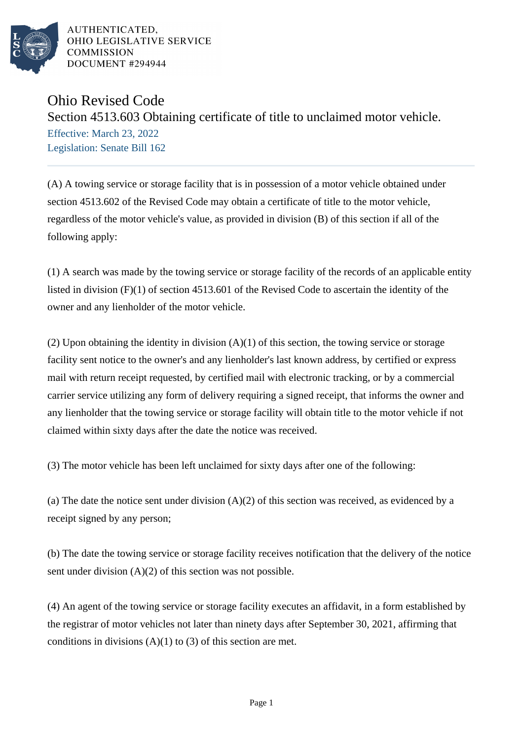

AUTHENTICATED. OHIO LEGISLATIVE SERVICE **COMMISSION** DOCUMENT #294944

## Ohio Revised Code

Section 4513.603 Obtaining certificate of title to unclaimed motor vehicle. Effective: March 23, 2022

Legislation: Senate Bill 162

(A) A towing service or storage facility that is in possession of a motor vehicle obtained under section 4513.602 of the Revised Code may obtain a certificate of title to the motor vehicle, regardless of the motor vehicle's value, as provided in division (B) of this section if all of the following apply:

(1) A search was made by the towing service or storage facility of the records of an applicable entity listed in division (F)(1) of section 4513.601 of the Revised Code to ascertain the identity of the owner and any lienholder of the motor vehicle.

(2) Upon obtaining the identity in division  $(A)(1)$  of this section, the towing service or storage facility sent notice to the owner's and any lienholder's last known address, by certified or express mail with return receipt requested, by certified mail with electronic tracking, or by a commercial carrier service utilizing any form of delivery requiring a signed receipt, that informs the owner and any lienholder that the towing service or storage facility will obtain title to the motor vehicle if not claimed within sixty days after the date the notice was received.

(3) The motor vehicle has been left unclaimed for sixty days after one of the following:

(a) The date the notice sent under division  $(A)(2)$  of this section was received, as evidenced by a receipt signed by any person;

(b) The date the towing service or storage facility receives notification that the delivery of the notice sent under division  $(A)(2)$  of this section was not possible.

(4) An agent of the towing service or storage facility executes an affidavit, in a form established by the registrar of motor vehicles not later than ninety days after September 30, 2021, affirming that conditions in divisions  $(A)(1)$  to  $(3)$  of this section are met.